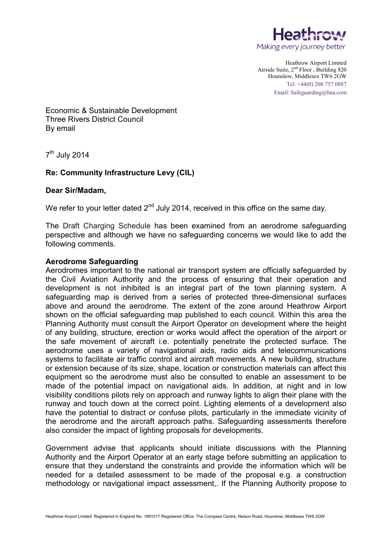

Heathrow Airport Limited Airside Suite, 2nd Floor , Building 820 Hounslow, Middlesex TW6 2GW Tel: +44(0) 208 757 0887 Email: Safeguarding@baa.com

Economic & Sustainable Development Three Rivers District Council By email

 $7<sup>th</sup>$  July 2014

## **Re: Community Infrastructure Levy (CIL)**

## **Dear Sir/Madam,**

We refer to your letter dated  $2^{nd}$  July 2014, received in this office on the same day.

The Draft Charging Schedule has been examined from an aerodrome safeguarding perspective and although we have no safeguarding concerns we would like to add the following comments.

## **Aerodrome Safeguarding**

Aerodromes important to the national air transport system are officially safeguarded by the Civil Aviation Authority and the process of ensuring that their operation and development is not inhibited is an integral part of the town planning system. A safeguarding map is derived from a series of protected three-dimensional surfaces above and around the aerodrome. The extent of the zone around Heathrow Airport shown on the official safeguarding map published to each council. Within this area the Planning Authority must consult the Airport Operator on development where the height of any building, structure, erection or works would affect the operation of the airport or the safe movement of aircraft i.e. potentially penetrate the protected surface. The aerodrome uses a variety of navigational aids, radio aids and telecommunications systems to facilitate air traffic control and aircraft movements. A new building, structure or extension because of its size, shape, location or construction materials can affect this equipment so the aerodrome must also be consulted to enable an assessment to be made of the potential impact on navigational aids. In addition, at night and in low visibility conditions pilots rely on approach and runway lights to align their plane with the runway and touch down at the correct point. Lighting elements of a development also have the potential to distract or confuse pilots, particularly in the immediate vicinity of the aerodrome and the aircraft approach paths. Safeguarding assessments therefore also consider the impact of lighting proposals for developments.

Government advise that applicants should initiate discussions with the Planning Authority and the Airport Operator at an early stage before submitting an application to ensure that they understand the constraints and provide the information which will be needed for a detailed assessment to be made of the proposal e.g. a construction methodology or navigational impact assessment,. If the Planning Authority propose to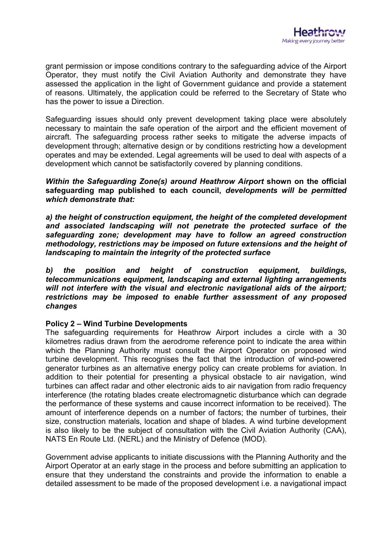

grant permission or impose conditions contrary to the safeguarding advice of the Airport Operator, they must notify the Civil Aviation Authority and demonstrate they have assessed the application in the light of Government guidance and provide a statement of reasons. Ultimately, the application could be referred to the Secretary of State who has the power to issue a Direction.

Safeguarding issues should only prevent development taking place were absolutely necessary to maintain the safe operation of the airport and the efficient movement of aircraft. The safeguarding process rather seeks to mitigate the adverse impacts of development through; alternative design or by conditions restricting how a development operates and may be extended. Legal agreements will be used to deal with aspects of a development which cannot be satisfactorily covered by planning conditions.

*Within the Safequarding Zone(s) around Heathrow Airport shown on the official* **safeguarding map published to each council,** *developments will be permitted which demonstrate that:*

*a) the height of construction equipment, the height of the completed development and associated landscaping will not penetrate the protected surface of the safeguarding zone; development may have to follow an agreed construction methodology, restrictions may be imposed on future extensions and the height of landscaping to maintain the integrity of the protected surface*

*b) the position and height of construction equipment, buildings, telecommunications equipment, landscaping and external lighting arrangements will not interfere with the visual and electronic navigational aids of the airport; restrictions may be imposed to enable further assessment of any proposed changes* 

## **Policy 2 – Wind Turbine Developments**

The safeguarding requirements for Heathrow Airport includes a circle with a 30 kilometres radius drawn from the aerodrome reference point to indicate the area within which the Planning Authority must consult the Airport Operator on proposed wind turbine development. This recognises the fact that the introduction of wind-powered generator turbines as an alternative energy policy can create problems for aviation. In addition to their potential for presenting a physical obstacle to air navigation, wind turbines can affect radar and other electronic aids to air navigation from radio frequency interference (the rotating blades create electromagnetic disturbance which can degrade the performance of these systems and cause incorrect information to be received). The amount of interference depends on a number of factors; the number of turbines, their size, construction materials, location and shape of blades. A wind turbine development is also likely to be the subject of consultation with the Civil Aviation Authority (CAA), NATS En Route Ltd. (NERL) and the Ministry of Defence (MOD).

Government advise applicants to initiate discussions with the Planning Authority and the Airport Operator at an early stage in the process and before submitting an application to ensure that they understand the constraints and provide the information to enable a detailed assessment to be made of the proposed development i.e. a navigational impact